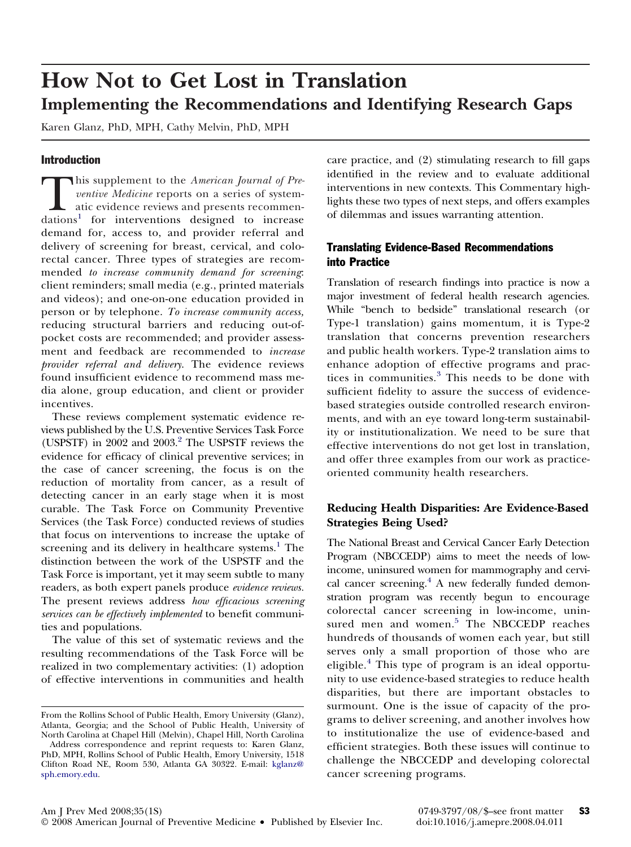# **How Not to Get Lost in Translation Implementing the Recommendations and Identifying Research Gaps**

Karen Glanz, PhD, MPH, Cathy Melvin, PhD, MPH

# Introduction

This supplement to the *American Journal of Preventive Medicine* reports on a series of systematic evidence reviews and presents recommendations<sup>1</sup> for interventions designed to increase *ventive Medicine* reports on a series of systematic evidence reviews and presents recommendemand for, access to, and provider referral and delivery of screening for breast, cervical, and colorectal cancer. Three types of strategies are recommended *to increase community demand for screening*: client reminders; small media (e.g., printed materials and videos); and one-on-one education provided in person or by telephone. *To increase community access,* reducing structural barriers and reducing out-ofpocket costs are recommended; and provider assessment and feedback are recommended to *increase provider referral and delivery*. The evidence reviews found insufficient evidence to recommend mass media alone, group education, and client or provider incentives.

These reviews complement systematic evidence reviews published by the U.S. Preventive Services Task Force (USPSTF) in  $2002$  and  $2003<sup>2</sup>$ . The USPSTF reviews the evidence for efficacy of clinical preventive services; in the case of cancer screening, the focus is on the reduction of mortality from cancer, as a result of detecting cancer in an early stage when it is most curable. The Task Force on Community Preventive Services (the Task Force) conducted reviews of studies that focus on interventions to increase the uptake of screening and its delivery in healthcare systems. $<sup>1</sup>$  $<sup>1</sup>$  $<sup>1</sup>$  The</sup> distinction between the work of the USPSTF and the Task Force is important, yet it may seem subtle to many readers, as both expert panels produce *evidence reviews.* The present reviews address *how efficacious screening services can be effectively implemented* to benefit communities and populations.

The value of this set of systematic reviews and the resulting recommendations of the Task Force will be realized in two complementary activities: (1) adoption of effective interventions in communities and health care practice, and (2) stimulating research to fill gaps identified in the review and to evaluate additional interventions in new contexts. This Commentary highlights these two types of next steps, and offers examples of dilemmas and issues warranting attention.

## Translating Evidence-Based Recommendations into Practice

Translation of research findings into practice is now a major investment of federal health research agencies. While "bench to bedside" translational research (or Type-1 translation) gains momentum, it is Type-2 translation that concerns prevention researchers and public health workers. Type-2 translation aims to enhance adoption of effective programs and practices in communities.[3](#page-2-0) This needs to be done with sufficient fidelity to assure the success of evidencebased strategies outside controlled research environments, and with an eye toward long-term sustainability or institutionalization. We need to be sure that effective interventions do not get lost in translation, and offer three examples from our work as practiceoriented community health researchers.

# **Reducing Health Disparities: Are Evidence-Based Strategies Being Used?**

The National Breast and Cervical Cancer Early Detection Program (NBCCEDP) aims to meet the needs of lowincome, uninsured women for mammography and cervical cancer screening. $^{4}$  A new federally funded demonstration program was recently begun to encourage colorectal cancer screening in low-income, unin-sured men and women.<sup>[5](#page-2-0)</sup> The NBCCEDP reaches hundreds of thousands of women each year, but still serves only a small proportion of those who are eligible.[4](#page-2-0) This type of program is an ideal opportunity to use evidence-based strategies to reduce health disparities, but there are important obstacles to surmount. One is the issue of capacity of the programs to deliver screening, and another involves how to institutionalize the use of evidence-based and efficient strategies. Both these issues will continue to challenge the NBCCEDP and developing colorectal cancer screening programs.

From the Rollins School of Public Health, Emory University (Glanz), Atlanta, Georgia; and the School of Public Health, University of North Carolina at Chapel Hill (Melvin), Chapel Hill, North Carolina

Address correspondence and reprint requests to: Karen Glanz, PhD, MPH, Rollins School of Public Health, Emory University, 1518 Clifton Road NE, Room 530, Atlanta GA 30322. E-mail: [kglanz@](mailto:kglanz@sph.emory.edu) [sph.emory.edu.](mailto:kglanz@sph.emory.edu)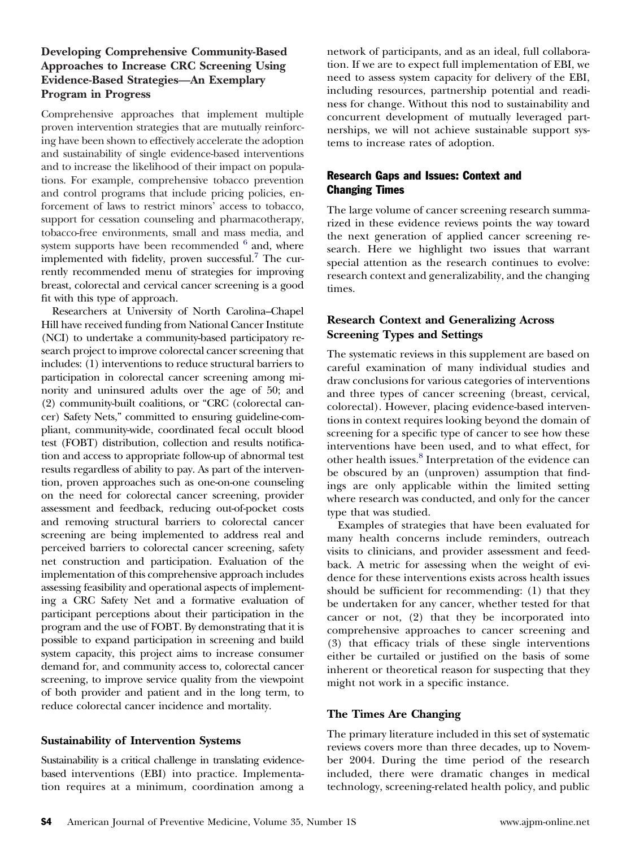## **Developing Comprehensive Community-Based Approaches to Increase CRC Screening Using Evidence-Based Strategies—An Exemplary Program in Progress**

Comprehensive approaches that implement multiple proven intervention strategies that are mutually reinforcing have been shown to effectively accelerate the adoption and sustainability of single evidence-based interventions and to increase the likelihood of their impact on populations. For example, comprehensive tobacco prevention and control programs that include pricing policies, enforcement of laws to restrict minors' access to tobacco, support for cessation counseling and pharmacotherapy, tobacco-free environments, small and mass media, and system supports have been recommended  $6$  and, where implemented with fidelity, proven successful.<sup>7</sup> The currently recommended menu of strategies for improving breast, colorectal and cervical cancer screening is a good fit with this type of approach.

Researchers at University of North Carolina–Chapel Hill have received funding from National Cancer Institute (NCI) to undertake a community-based participatory research project to improve colorectal cancer screening that includes: (1) interventions to reduce structural barriers to participation in colorectal cancer screening among minority and uninsured adults over the age of 50; and (2) community-built coalitions, or "CRC (colorectal cancer) Safety Nets," committed to ensuring guideline-compliant, community-wide, coordinated fecal occult blood test (FOBT) distribution, collection and results notification and access to appropriate follow-up of abnormal test results regardless of ability to pay. As part of the intervention, proven approaches such as one-on-one counseling on the need for colorectal cancer screening, provider assessment and feedback, reducing out-of-pocket costs and removing structural barriers to colorectal cancer screening are being implemented to address real and perceived barriers to colorectal cancer screening, safety net construction and participation. Evaluation of the implementation of this comprehensive approach includes assessing feasibility and operational aspects of implementing a CRC Safety Net and a formative evaluation of participant perceptions about their participation in the program and the use of FOBT. By demonstrating that it is possible to expand participation in screening and build system capacity, this project aims to increase consumer demand for, and community access to, colorectal cancer screening, to improve service quality from the viewpoint of both provider and patient and in the long term, to reduce colorectal cancer incidence and mortality.

#### **Sustainability of Intervention Systems**

Sustainability is a critical challenge in translating evidencebased interventions (EBI) into practice. Implementation requires at a minimum, coordination among a

network of participants, and as an ideal, full collaboration. If we are to expect full implementation of EBI, we need to assess system capacity for delivery of the EBI, including resources, partnership potential and readiness for change. Without this nod to sustainability and concurrent development of mutually leveraged partnerships, we will not achieve sustainable support systems to increase rates of adoption.

## Research Gaps and Issues: Context and Changing Times

The large volume of cancer screening research summarized in these evidence reviews points the way toward the next generation of applied cancer screening research. Here we highlight two issues that warrant special attention as the research continues to evolve: research context and generalizability, and the changing times.

## **Research Context and Generalizing Across Screening Types and Settings**

The systematic reviews in this supplement are based on careful examination of many individual studies and draw conclusions for various categories of interventions and three types of cancer screening (breast, cervical, colorectal). However, placing evidence-based interventions in context requires looking beyond the domain of screening for a specific type of cancer to see how these interventions have been used, and to what effect, for other health issues.[8](#page-2-0) Interpretation of the evidence can be obscured by an (unproven) assumption that findings are only applicable within the limited setting where research was conducted, and only for the cancer type that was studied.

Examples of strategies that have been evaluated for many health concerns include reminders, outreach visits to clinicians, and provider assessment and feedback. A metric for assessing when the weight of evidence for these interventions exists across health issues should be sufficient for recommending: (1) that they be undertaken for any cancer, whether tested for that cancer or not, (2) that they be incorporated into comprehensive approaches to cancer screening and (3) that efficacy trials of these single interventions either be curtailed or justified on the basis of some inherent or theoretical reason for suspecting that they might not work in a specific instance.

#### **The Times Are Changing**

The primary literature included in this set of systematic reviews covers more than three decades, up to November 2004. During the time period of the research included, there were dramatic changes in medical technology, screening-related health policy, and public